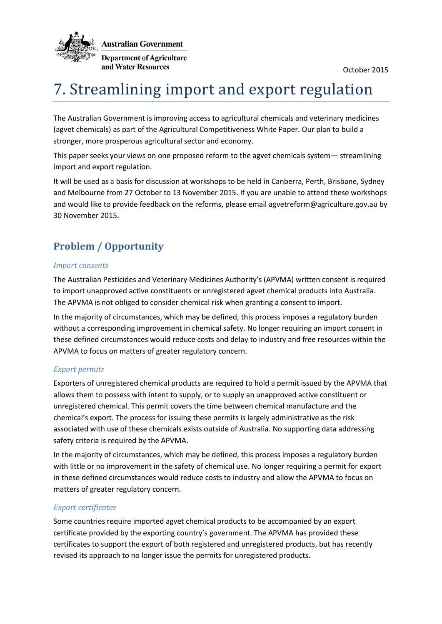

# 7. Streamlining import and export regulation

The Australian Government is improving access to agricultural chemicals and veterinary medicines (agvet chemicals) as part of the Agricultural Competitiveness White Paper. Our plan to build a stronger, more prosperous agricultural sector and economy.

This paper seeks your views on one proposed reform to the agvet chemicals system— streamlining import and export regulation.

It will be used as a basis for discussion at workshops to be held in Canberra, Perth, Brisbane, Sydney and Melbourne from 27 October to 13 November 2015. If you are unable to attend these workshops and would like to provide feedback on the reforms, please email agvetreform@agriculture.gov.au by 30 November 2015.

## **Problem / Opportunity**

### *Import consents*

The Australian Pesticides and Veterinary Medicines Authority's (APVMA) written consent is required to import unapproved active constituents or unregistered agvet chemical products into Australia. The APVMA is not obliged to consider chemical risk when granting a consent to import.

In the majority of circumstances, which may be defined, this process imposes a regulatory burden without a corresponding improvement in chemical safety. No longer requiring an import consent in these defined circumstances would reduce costs and delay to industry and free resources within the APVMA to focus on matters of greater regulatory concern.

## *Export permits*

Exporters of unregistered chemical products are required to hold a permit issued by the APVMA that allows them to possess with intent to supply, or to supply an unapproved active constituent or unregistered chemical. This permit covers the time between chemical manufacture and the chemical's export. The process for issuing these permits is largely administrative as the risk associated with use of these chemicals exists outside of Australia. No supporting data addressing safety criteria is required by the APVMA.

In the majority of circumstances, which may be defined, this process imposes a regulatory burden with little or no improvement in the safety of chemical use. No longer requiring a permit for export in these defined circumstances would reduce costs to industry and allow the APVMA to focus on matters of greater regulatory concern.

### *Export certificates*

Some countries require imported agvet chemical products to be accompanied by an export certificate provided by the exporting country's government. The APVMA has provided these certificates to support the export of both registered and unregistered products, but has recently revised its approach to no longer issue the permits for unregistered products.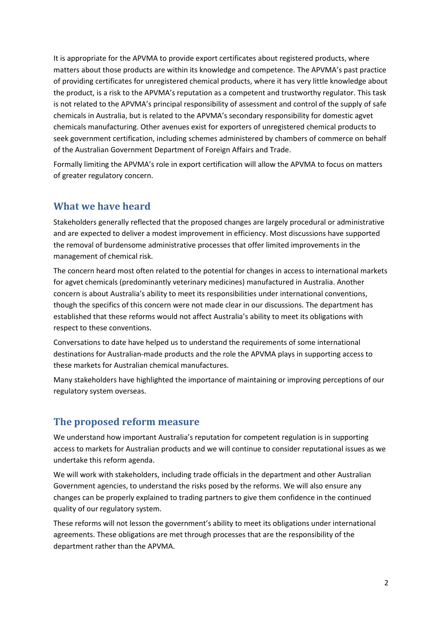It is appropriate for the APVMA to provide export certificates about registered products, where matters about those products are within its knowledge and competence. The APVMA's past practice of providing certificates for unregistered chemical products, where it has very little knowledge about the product, is a risk to the APVMA's reputation as a competent and trustworthy regulator. This task is not related to the APVMA's principal responsibility of assessment and control of the supply of safe chemicals in Australia, but is related to the APVMA's secondary responsibility for domestic agvet chemicals manufacturing. Other avenues exist for exporters of unregistered chemical products to seek government certification, including schemes administered by chambers of commerce on behalf of the Australian Government Department of Foreign Affairs and Trade.

Formally limiting the APVMA's role in export certification will allow the APVMA to focus on matters of greater regulatory concern.

## **What we have heard**

Stakeholders generally reflected that the proposed changes are largely procedural or administrative and are expected to deliver a modest improvement in efficiency. Most discussions have supported the removal of burdensome administrative processes that offer limited improvements in the management of chemical risk.

The concern heard most often related to the potential for changes in access to international markets for agvet chemicals (predominantly veterinary medicines) manufactured in Australia. Another concern is about Australia's ability to meet its responsibilities under international conventions, though the specifics of this concern were not made clear in our discussions. The department has established that these reforms would not affect Australia's ability to meet its obligations with respect to these conventions.

Conversations to date have helped us to understand the requirements of some international destinations for Australian-made products and the role the APVMA plays in supporting access to these markets for Australian chemical manufactures.

Many stakeholders have highlighted the importance of maintaining or improving perceptions of our regulatory system overseas.

## **The proposed reform measure**

We understand how important Australia's reputation for competent regulation is in supporting access to markets for Australian products and we will continue to consider reputational issues as we undertake this reform agenda.

We will work with stakeholders, including trade officials in the department and other Australian Government agencies, to understand the risks posed by the reforms. We will also ensure any changes can be properly explained to trading partners to give them confidence in the continued quality of our regulatory system.

These reforms will not lesson the government's ability to meet its obligations under international agreements. These obligations are met through processes that are the responsibility of the department rather than the APVMA.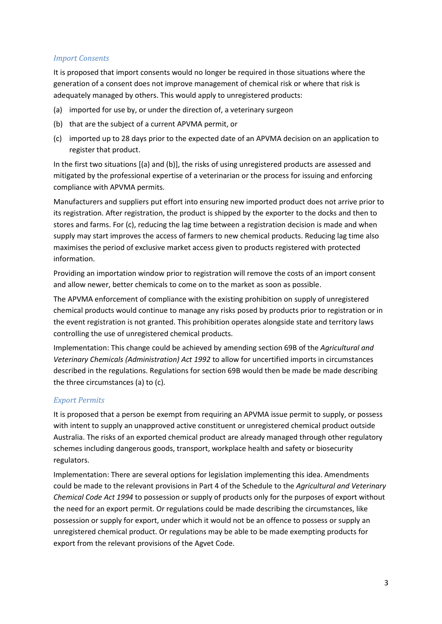### *Import Consents*

It is proposed that import consents would no longer be required in those situations where the generation of a consent does not improve management of chemical risk or where that risk is adequately managed by others. This would apply to unregistered products:

- (a) imported for use by, or under the direction of, a veterinary surgeon
- (b) that are the subject of a current APVMA permit, or
- (c) imported up to 28 days prior to the expected date of an APVMA decision on an application to register that product.

In the first two situations [(a) and (b)], the risks of using unregistered products are assessed and mitigated by the professional expertise of a veterinarian or the process for issuing and enforcing compliance with APVMA permits.

Manufacturers and suppliers put effort into ensuring new imported product does not arrive prior to its registration. After registration, the product is shipped by the exporter to the docks and then to stores and farms. For (c), reducing the lag time between a registration decision is made and when supply may start improves the access of farmers to new chemical products. Reducing lag time also maximises the period of exclusive market access given to products registered with protected information.

Providing an importation window prior to registration will remove the costs of an import consent and allow newer, better chemicals to come on to the market as soon as possible.

The APVMA enforcement of compliance with the existing prohibition on supply of unregistered chemical products would continue to manage any risks posed by products prior to registration or in the event registration is not granted. This prohibition operates alongside state and territory laws controlling the use of unregistered chemical products.

Implementation: This change could be achieved by amending section 69B of the *Agricultural and Veterinary Chemicals (Administration) Act 1992* to allow for uncertified imports in circumstances described in the regulations. Regulations for section 69B would then be made be made describing the three circumstances (a) to (c)*.*

### *Export Permits*

It is proposed that a person be exempt from requiring an APVMA issue permit to supply, or possess with intent to supply an unapproved active constituent or unregistered chemical product outside Australia. The risks of an exported chemical product are already managed through other regulatory schemes including dangerous goods, transport, workplace health and safety or biosecurity regulators.

Implementation: There are several options for legislation implementing this idea. Amendments could be made to the relevant provisions in Part 4 of the Schedule to the *Agricultural and Veterinary Chemical Code Act 1994* to possession or supply of products only for the purposes of export without the need for an export permit. Or regulations could be made describing the circumstances, like possession or supply for export, under which it would not be an offence to possess or supply an unregistered chemical product. Or regulations may be able to be made exempting products for export from the relevant provisions of the Agvet Code.